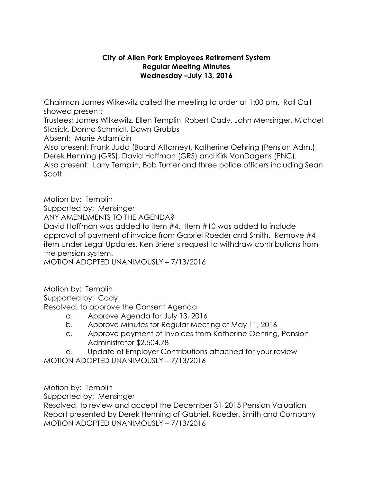## **City of Allen Park Employees Retirement System Regular Meeting Minutes Wednesday –July 13, 2016**

Chairman James Wilkewitz called the meeting to order at 1:00 pm. Roll Call showed present:

Trustees; James Wilkewitz, Ellen Templin, Robert Cady, John Mensinger, Michael Stasick, Donna Schmidt, Dawn Grubbs

Absent: Marie Adamicin

Also present: Frank Judd (Board Attorney), Katherine Oehring (Pension Adm.), Derek Henning (GRS), David Hoffman (GRS) and Kirk VanDagens (PNC). Also present: Larry Templin, Bob Turner and three police officers including Sean Scott

Motion by: Templin Supported by: Mensinger ANY AMENDMENTS TO THE AGENDA? David Hoffman was added to item #4. Item #10 was added to include approval of payment of invoice from Gabriel Roeder and Smith. Remove #4 item under Legal Updates, Ken Briere's request to withdraw contributions from the pension system.

MOTION ADOPTED UNANIMOUSLY – 7/13/2016

Motion by: Templin Supported by: Cady Resolved, to approve the Consent Agenda

- a. Approve Agenda for July 13, 2016
- b. Approve Minutes for Regular Meeting of May 11, 2016
- c. Approve payment of Invoices from Katherine Oehring, Pension Administrator \$2,504.78

d. Update of Employer Contributions attached for your review MOTION ADOPTED UNANIMOUSLY – 7/13/2016

Motion by: Templin

Supported by: Mensinger

Resolved, to review and accept the December 31, 2015 Pension Valuation Report presented by Derek Henning of Gabriel, Roeder, Smith and Company MOTION ADOPTED UNANIMOUSLY – 7/13/2016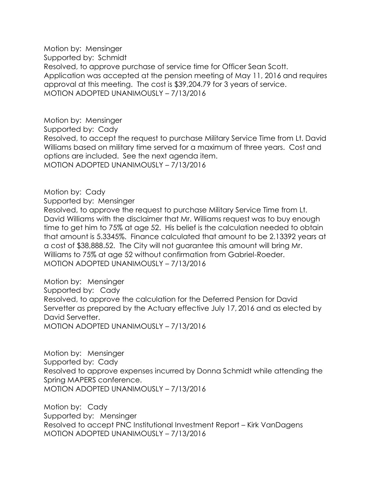Motion by: Mensinger Supported by: Schmidt Resolved, to approve purchase of service time for Officer Sean Scott. Application was accepted at the pension meeting of May 11, 2016 and requires approval at this meeting. The cost is \$39,204.79 for 3 years of service. MOTION ADOPTED UNANIMOUSLY – 7/13/2016

Motion by: Mensinger Supported by: Cady Resolved, to accept the request to purchase Military Service Time from Lt. David Williams based on military time served for a maximum of three years. Cost and options are included. See the next agenda item. MOTION ADOPTED UNANIMOUSLY – 7/13/2016

## Motion by: Cady

Supported by: Mensinger

Resolved, to approve the request to purchase Military Service Time from Lt. David Williams with the disclaimer that Mr. Williams request was to buy enough time to get him to 75% at age 52. His belief is the calculation needed to obtain that amount is 5.3345%. Finance calculated that amount to be 2.13392 years at a cost of \$38,888.52. The City will not guarantee this amount will bring Mr. Williams to 75% at age 52 without confirmation from Gabriel-Roeder. MOTION ADOPTED UNANIMOUSLY – 7/13/2016

Motion by: Mensinger Supported by: Cady Resolved, to approve the calculation for the Deferred Pension for David Servetter as prepared by the Actuary effective July 17, 2016 and as elected by David Servetter. MOTION ADOPTED UNANIMOUSLY – 7/13/2016

Motion by: Mensinger Supported by: Cady Resolved to approve expenses incurred by Donna Schmidt while attending the Spring MAPERS conference. MOTION ADOPTED UNANIMOUSLY – 7/13/2016

Motion by: Cady Supported by: Mensinger Resolved to accept PNC Institutional Investment Report – Kirk VanDagens MOTION ADOPTED UNANIMOUSLY – 7/13/2016